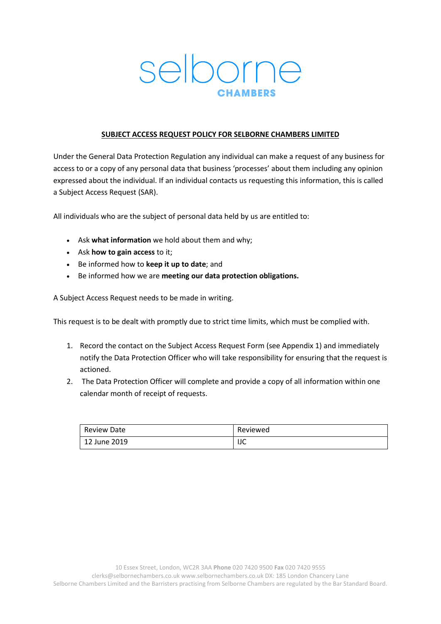# selborne

# **SUBJECT ACCESS REQUEST POLICY FOR SELBORNE CHAMBERS LIMITED**

Under the General Data Protection Regulation any individual can make a request of any business for access to or a copy of any personal data that business 'processes' about them including any opinion expressed about the individual. If an individual contacts us requesting this information, this is called a Subject Access Request (SAR).

All individuals who are the subject of personal data held by us are entitled to:

- Ask **what information** we hold about them and why;
- Ask **how to gain access** to it;
- Be informed how to **keep it up to date**; and
- Be informed how we are **meeting our data protection obligations.**

A Subject Access Request needs to be made in writing.

This request is to be dealt with promptly due to strict time limits, which must be complied with.

- 1. Record the contact on the Subject Access Request Form (see Appendix 1) and immediately notify the Data Protection Officer who will take responsibility for ensuring that the request is actioned.
- 2. The Data Protection Officer will complete and provide a copy of all information within one calendar month of receipt of requests.

| <b>Review Date</b> | Reviewed |
|--------------------|----------|
| 12 June 2019       | IJC      |